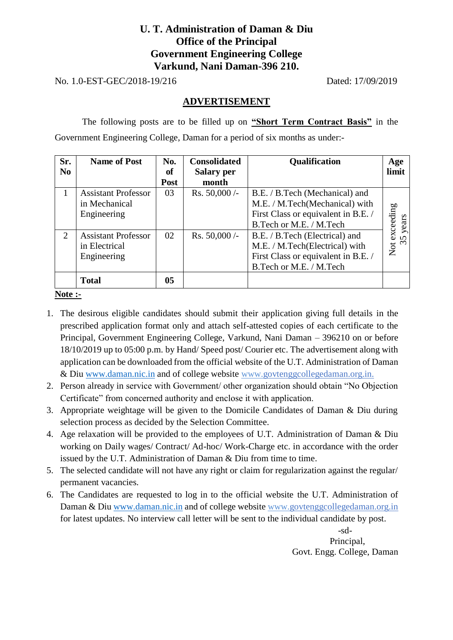## **U. T. Administration of Daman & Diu Office of the Principal Government Engineering College Varkund, Nani Daman-396 210.**

No. 1.0-EST-GEC/2018-19/216 Dated: 17/09/2019

#### **ADVERTISEMENT**

The following posts are to be filled up on **"Short Term Contract Basis"** in the Government Engineering College, Daman for a period of six months as under:-

| Sr.            | <b>Name of Post</b>        | No.            | <b>Consolidated</b> | Qualification                       | Age             |
|----------------|----------------------------|----------------|---------------------|-------------------------------------|-----------------|
| N <sub>0</sub> |                            | of             | <b>Salary per</b>   |                                     | limit           |
|                |                            | Post           | month               |                                     |                 |
| 1              | <b>Assistant Professor</b> | 03             | Rs. $50,000$ /-     | B.E. / B.Tech (Mechanical) and      |                 |
|                | in Mechanical              |                |                     | M.E. / M.Tech(Mechanical) with      |                 |
|                | Engineering                |                |                     | First Class or equivalent in B.E. / |                 |
|                |                            |                |                     | B.Tech or M.E. / M.Tech             | years           |
| 2              | <b>Assistant Professor</b> | 02             | Rs. $50,000$ /-     | B.E. / B.Tech (Electrical) and      | exceeding<br>35 |
|                | in Electrical              |                |                     | M.E. / M.Tech(Electrical) with      | $\frac{1}{2}$   |
|                | Engineering                |                |                     | First Class or equivalent in B.E. / |                 |
|                |                            |                |                     | B.Tech or M.E. / M.Tech             |                 |
|                | <b>Total</b>               | 0 <sub>5</sub> |                     |                                     |                 |

**Note :-**

- 1. The desirous eligible candidates should submit their application giving full details in the prescribed application format only and attach self-attested copies of each certificate to the Principal, Government Engineering College, Varkund, Nani Daman – 396210 on or before 18/10/2019 up to 05:00 p.m. by Hand/ Speed post/ Courier etc. The advertisement along with application can be downloaded from the official website of the U.T. Administration of Daman & Diu [www.daman.nic.in](http://www.daman.nic.in/) and of college website www.govtenggcollegedaman.org.in.
- 2. Person already in service with Government/ other organization should obtain "No Objection Certificate" from concerned authority and enclose it with application.
- 3. Appropriate weightage will be given to the Domicile Candidates of Daman & Diu during selection process as decided by the Selection Committee.
- 4. Age relaxation will be provided to the employees of U.T. Administration of Daman & Diu working on Daily wages/ Contract/ Ad-hoc/ Work-Charge etc. in accordance with the order issued by the U.T. Administration of Daman & Diu from time to time.
- 5. The selected candidate will not have any right or claim for regularization against the regular/ permanent vacancies.
- 6. The Candidates are requested to log in to the official website the U.T. Administration of Daman & Diu [www.daman.nic.in](http://www.daman.nic.in/) and of college website www.govtenggcollegedaman.org.in for latest updates. No interview call letter will be sent to the individual candidate by post.

 -sd- Principal, Govt. Engg. College, Daman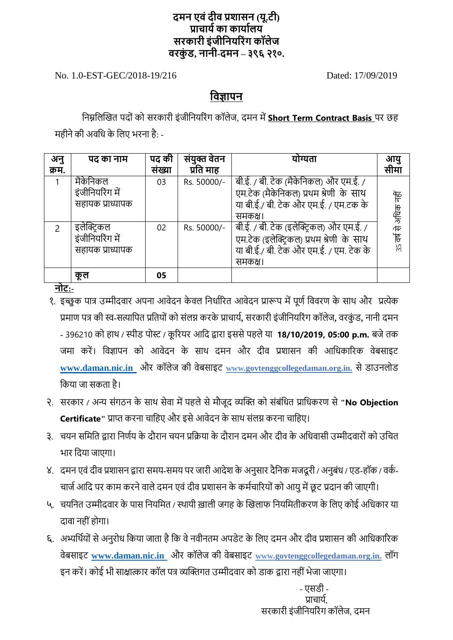## **दमन एवंदीव प्रशासन (यू.टी) प्राचाययका कायायलय सरकारी इंजीननयररंग कॉलेज वरक ं ड, नानी-दमन – ३९६ २१०.**

No. 1.0-EST-GEC/2018-19/216 Dated: 17/09/2019

## **नवज्ञापन**

निम्नलिखित पदों को सरकारी इंजीनियरिंग कॉलेज, दमन में **Short Term Contract Basis** पर छह महीने की अवधि के लिए भरना है: -

| अनु           | पद का नाम        | पद की  | संयुक्त वेतन | योग्यता                                  | आयु                  |
|---------------|------------------|--------|--------------|------------------------------------------|----------------------|
| क्रम.         |                  | संख्या | प्रति माह    |                                          | सीमा                 |
|               | मैकेनिकल         | 03     | Rs. 50000/-  | बी.ई. / बी. टेक (मैकेनिकल) और एम.ई. /    |                      |
|               | इंजीनियरिंग में  |        |              | एम.टेक (मैकेनिकल) प्रथम श्रेणी के साथ    |                      |
|               | सहायक प्राध्यापक |        |              | या बी.ई./ बी. टेक और एम.ई. / एम.टक के    |                      |
|               |                  |        |              | समकक्ष।                                  |                      |
| $\mathcal{P}$ | इलेक्ट्रिकल      | 02     | Rs. 50000/-  | बी.ई. / बी. टेक (इलेक्ट्रिकल) और एम.ई. / | 35 वर्ष से अधिक नहीं |
|               | इंजीनियरिंग में  |        |              | एम.टेक (इलेक्ट्रिकल) प्रथम श्रेणी के साथ |                      |
|               | सहायक प्राध्यापक |        |              | या बी.ई./ बी. टेक और एम.ई. / एम. टेक के  |                      |
|               |                  |        |              | समकक्ष।                                  |                      |
|               | कूल              | 05     |              |                                          |                      |

**नोट:-**

- १. इच्छुक पात्र उम्मीदवार अपना आवेदन केवल निर्धारित आवेदन प्रारूप में पूर्ण विवरण के साथ और प्रत्येक प्रमाण पत्र की स्व**-**सत्यानपत प्रनतय ोंक सोंिग्न करके प्राचायष**,** सरकारी इोंजीनियररों ग कॉिेज**,** वरकुों ड**,** िािी दमि - 396210 को हाथ / स्पीड पोस्ट / कूरियर आदि द्वारा इससे पहले या **18/10/2019, 05:00 p.m.** बजे तक जमा करें। विज्ञापन को आवेदन के साथ दमन और दीव प्रशासन की आधिकारिक वेबसाइट [www.daman.nic.in](http://www.daman.nic.in/) और कॉलेज की वेबसाइट www.govtenggcollegedaman.org.in. से डाउनलोड नकया जा सकता है।
- २. सरकार / अन्य संगठन के साथ सेवा में पहले से मौजूद व्यक्ति को संबंधित प्राधिकरण से "**No Objection Certificate"** प्राप्त करिा चानहए और इसेआवेदि के साथ सोंिग्न करिा चानहए।
- ३. चयन समिति द्वारा निर्णय के दौरान चयन प्रक्रिया के दौरान दमन और दीव के अधिवासी उम्मीदवारों को उचित भार नदया जाएगा।
- ४. दमि एवोंदीव प्रशासि द्वारा समय**-**समय पर जारी आदेश के अिुसार दैनिक मजदू री **/** अिुबोंि **/** एड**-**हॉक **/** वकष**-**चार्ज आदि पर काम करने वाले दमन एवं दीव प्रशासन के कर्मचारियों को आयु में छूट प्रदान की जाएगी।
- ५. चयनित उम्मीदवार के पास नियमित *।* स्थायी खाली जगह के खिलाफ नियमितीकरण के लिए कोई अधिकार या दावा नहीं होगा।
- ६. अभ्यर्थियों से अनुरोध किया जाता है कि वे नवीनतम अपडेट के लिए दमन और दीव प्रशासन की आधिकारिक वेबसाइट **[www.daman.nic.in](http://www.daman.nic.in/)** और कॉिेज की वेबसाइट **www.govtenggcollegedaman.org.in.** िॉग इन करें। कोई भी साक्षात्कार कॉल पत्र व्यक्तिगत उम्मीदवार को डाक द्वारा नहीं भेजा जाएगा।

 - एसडी - पाचार्य सरकारी इंजीनियरिंग कॉलेज, दमन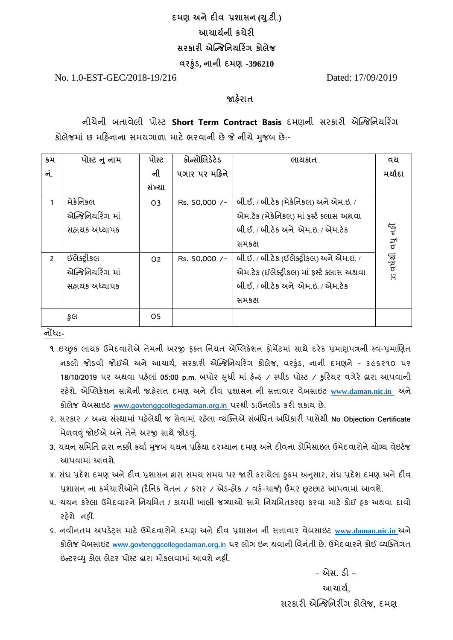# **દમણ અનેદીવ પ્રશાસન (ય.ુટી.) આચાર્યની કચેરી સરકારી એન્જિનનર્રરિંગ કોલેિ વરકુંુડ, નાની દમણ -396210**

No. 1.0-EST-GEC/2018-19/216 Dated: 17/09/2019

### **જાહરે ાત**

નીચેની બતાવેલી પોસ્ટ **Short Term Contract Basis** દમણની સરકારી એન્જિનનયરરિંગ કોલેજમાં છ મહિનાના સમયગાળા માટે ભરવાની છે જે નીચે મજબ છે:-

| ક્રમ           | પોસ્ટ નુ નામ     | પોસ્ટ          | કોન્સોલિડેટેડ | લાયકાત                                     | વય         |
|----------------|------------------|----------------|---------------|--------------------------------------------|------------|
| નં.            |                  | ની             | પગાર પર મહિને |                                            | મર્યાદા    |
|                |                  | સંખ્યા         |               |                                            |            |
| 1              | મેક્રેનિકલ       | O <sub>3</sub> | Rs. 50,000 /- | બી.ઈ. / બી.ટેક (મેકેનિકલ) અને એમ.ઇ. /      |            |
|                | એન્જિનિયરિંગ માં |                |               | એમ.ટેક (મેકેનિકલ) માં ફર્સ્ટ ક્લાસ અથવા    |            |
|                | સહ્રાયક અધ્યાપક  |                |               | બી.ઈ. / બી.ટેક અને એમ.ઇ. / એમ.ટેક          | વધુ નહીં   |
|                |                  |                |               | સમકક્ષ                                     |            |
| $\overline{c}$ | ઈલેક્ટ્રીકલ      | O <sub>2</sub> | Rs. 50,000 /- | બી.ઈ. / બી.ટેક (ઈલેક્ટ્રીકલ) અને એમ.ઇ. /   | $35$ driel |
|                | એન્જિનિયરિંગ માં |                |               | એમ.ટેક (ઈલેક્ટ્રીકલ) માં ફર્સ્ટ ક્લાસ અથવા |            |
|                | સહ્રાયક અધ્યાપક  |                |               | બી.ઈ. / બી.ટેક અને એમ.ઇ. / એમ.ટેક          |            |
|                |                  |                |               | સમકક્ષ                                     |            |
|                | કુલ              | O5             |               |                                            |            |

નોંધ**:-**

- **૧** .ઇચ્છુક લાયક ઉમેદવારોએ તેમની અરજી ફક્ત નિયત એપ્લિકેશન ફોર્મેટમાં સાથે દરેક પ્રમાણપત્રની સ્વ-પ્રમાણિત નકલો િોડવી િોઈએ અને આચાયટ**,** સરકારી એન્જિનનયરરિંગ કોલેિ**,** વરકુાંડ**,** નાની દમણને - ૩૯૬૨૧૦ પર 18/10/2019 પર અથવા પહેલાં 05:00 p.m. બપોર સુધી માં હેન્ડ / સ્પીડ પોસ્ટ / કુરિયર વગેરે **દ્વારા આપવાની** રિેશે**.** એન્લલકેશન સાથેની જાિેરાત દમણ અનેદીવ પ્રશાસન ની સત્તાવાર વેબસાઇટ **[www.daman.nic.in](http://www.daman.nic.in/)** અને કોલેિ વેબસાઇટ **[www.govtenggcollegedaman.org.in](http://www.govtenggcollegedaman.org.in/)** પરથી ડાઉનલોડ કરી શકાય છે.
- ૨. સરકાર / અજય સ ાંસ્થામાાં પિેલેથી િ સેવામાાં રિેલા વ્યક્ક્તએ સ ાંબ ાંનધત અનધકારી પાસેથી **No Objection Certificate** મેળવવું જોઈએ અને તેને અરજી સાથે જોડવું.
- 3. યયન સમિતિ **દ્વારા નક્કી કર્યા મુજબ ચયન પ્રક્રિ**યા દરમ્યાન દમણ અને દીવના ડોમિસાઇલ ઉમેદવારોને યોગ્ય વેઇટેજ આપવામાાં આવશે.
- ૪. સંઘ પ્રદેશ દમણ અને દીવ પ્રશાસન દ્વારા સમય સમય પર જારી કરાયેલા હકમ અનુસાર, સંઘ પ્રદેશ દમણ અને દીવ પ્રશાસન ના કમટચારીઓને **(**દૈનનક વેતન / કરાર / એડ**-**િોક / વકટ-ચાર્જ**)** ઉંમર છૂટછાટ આપવામાાં આવશે.
- ૫. ચયન કરેલા ઉમેદવારને નિયમિત / કાયમી ખાલી જગ્યાઓ સામે નિયમિતકરણ કરવા માટે કોઈ હક અથવા દાવો રિેશે નિીં.
- ૬**.** નવીનતમ અપડેટ્સ માટે ઉમેદવારોને દમણ અનેદીવ પ્રશાસન ની સત્તાવાર વેબસાઇટ **[www.daman.nic.in](http://www.daman.nic.in/)** અને કોલેિ વેબસાઇટ **[www.govtenggcollegedaman.org.in](http://www.govtenggcollegedaman.org.in/)** પર લોગ ઇન થવાની નવન ાંતી છે. ઉમેદવારને કોઈ વ્યક્ક્તગત ઇજટરવ્યુકોલ લેટર પોસ્ટ દ્વારા મોકલવામાાં આવશે નિીં.

 **-** એસ. ડી **–** આચાયટ**,** સરકારી એન્જિનનરીંગ કોલેિ**,** દમણ